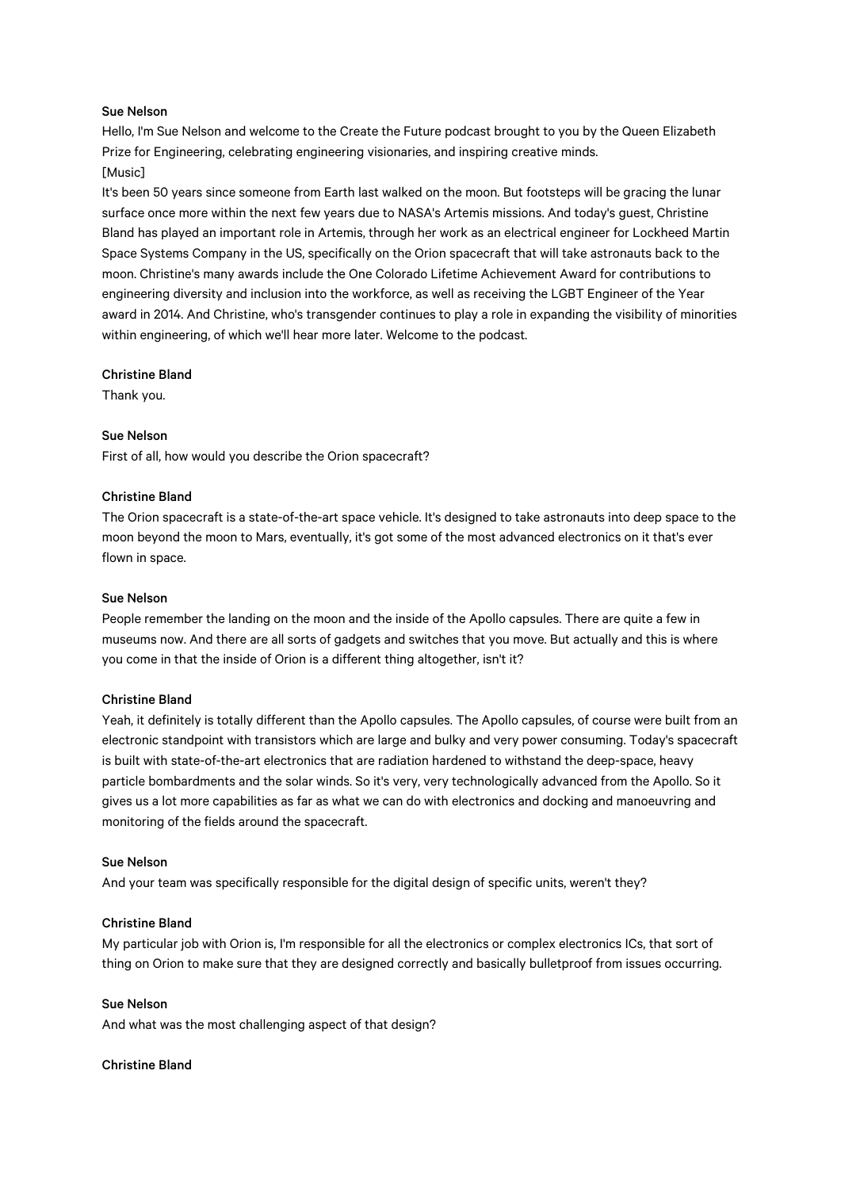# Sue Nelson

Hello, I'm Sue Nelson and welcome to the Create the Future podcast brought to you by the Queen Elizabeth Prize for Engineering, celebrating engineering visionaries, and inspiring creative minds. [Music]

# It's been 50 years since someone from Earth last walked on the moon. But footsteps will be gracing the lunar surface once more within the next few years due to NASA's Artemis missions. And today's guest, Christine Bland has played an important role in Artemis, through her work as an electrical engineer for Lockheed Martin Space Systems Company in the US, specifically on the Orion spacecraft that will take astronauts back to the moon. Christine's many awards include the One Colorado Lifetime Achievement Award for contributions to engineering diversity and inclusion into the workforce, as well as receiving the LGBT Engineer of the Year award in 2014. And Christine, who's transgender continues to play a role in expanding the visibility of minorities within engineering, of which we'll hear more later. Welcome to the podcast.

# Christine Bland

Thank you.

# Sue Nelson

First of all, how would you describe the Orion spacecraft?

# Christine Bland

The Orion spacecraft is a state-of-the-art space vehicle. It's designed to take astronauts into deep space to the moon beyond the moon to Mars, eventually, it's got some of the most advanced electronics on it that's ever flown in space.

### Sue Nelson

People remember the landing on the moon and the inside of the Apollo capsules. There are quite a few in museums now. And there are all sorts of gadgets and switches that you move. But actually and this is where you come in that the inside of Orion is a different thing altogether, isn't it?

### Christine Bland

Yeah, it definitely is totally different than the Apollo capsules. The Apollo capsules, of course were built from an electronic standpoint with transistors which are large and bulky and very power consuming. Today's spacecraft is built with state-of-the-art electronics that are radiation hardened to withstand the deep-space, heavy particle bombardments and the solar winds. So it's very, very technologically advanced from the Apollo. So it gives us a lot more capabilities as far as what we can do with electronics and docking and manoeuvring and monitoring of the fields around the spacecraft.

### Sue Nelson

And your team was specifically responsible for the digital design of specific units, weren't they?

### Christine Bland

My particular job with Orion is, I'm responsible for all the electronics or complex electronics ICs, that sort of thing on Orion to make sure that they are designed correctly and basically bulletproof from issues occurring.

# Sue Nelson

And what was the most challenging aspect of that design?

### Christine Bland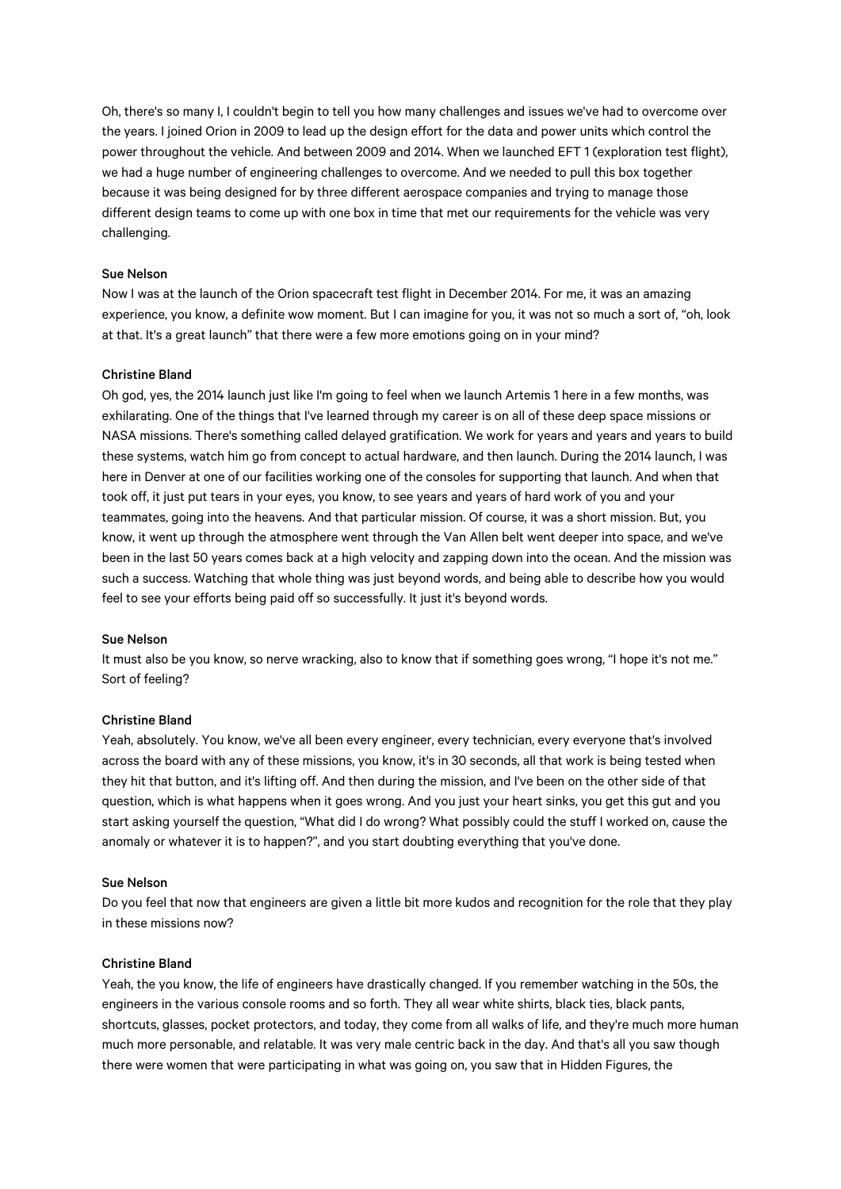Oh, there's so many I, I couldn't begin to tell you how many challenges and issues we've had to overcome over the years. I joined Orion in 2009 to lead up the design effort for the data and power units which control the power throughout the vehicle. And between 2009 and 2014. When we launched EFT 1 (exploration test flight), we had a huge number of engineering challenges to overcome. And we needed to pull this box together because it was being designed for by three different aerospace companies and trying to manage those different design teams to come up with one box in time that met our requirements for the vehicle was very challenging.

# Sue Nelson

Now I was at the launch of the Orion spacecraft test flight in December 2014. For me, it was an amazing experience, you know, a definite wow moment. But I can imagine for you, it was not so much a sort of, "oh, look at that. It's a great launch" that there were a few more emotions going on in your mind?

### Christine Bland

Oh god, yes, the 2014 launch just like I'm going to feel when we launch Artemis 1 here in a few months, was exhilarating. One of the things that I've learned through my career is on all of these deep space missions or NASA missions. There's something called delayed gratification. We work for years and years and years to build these systems, watch him go from concept to actual hardware, and then launch. During the 2014 launch, I was here in Denver at one of our facilities working one of the consoles for supporting that launch. And when that took off, it just put tears in your eyes, you know, to see years and years of hard work of you and your teammates, going into the heavens. And that particular mission. Of course, it was a short mission. But, you know, it went up through the atmosphere went through the Van Allen belt went deeper into space, and we've been in the last 50 years comes back at a high velocity and zapping down into the ocean. And the mission was such a success. Watching that whole thing was just beyond words, and being able to describe how you would feel to see your efforts being paid off so successfully. It just it's beyond words.

# Sue Nelson

It must also be you know, so nerve wracking, also to know that if something goes wrong, "I hope it's not me." Sort of feeling?

# Christine Bland

Yeah, absolutely. You know, we've all been every engineer, every technician, every everyone that's involved across the board with any of these missions, you know, it's in 30 seconds, all that work is being tested when they hit that button, and it's lifting off. And then during the mission, and I've been on the other side of that question, which is what happens when it goes wrong. And you just your heart sinks, you get this gut and you start asking yourself the question, "What did I do wrong? What possibly could the stuff I worked on, cause the anomaly or whatever it is to happen?", and you start doubting everything that you've done.

#### Sue Nelson

Do you feel that now that engineers are given a little bit more kudos and recognition for the role that they play in these missions now?

# Christine Bland

Yeah, the you know, the life of engineers have drastically changed. If you remember watching in the 50s, the engineers in the various console rooms and so forth. They all wear white shirts, black ties, black pants, shortcuts, glasses, pocket protectors, and today, they come from all walks of life, and they're much more human much more personable, and relatable. It was very male centric back in the day. And that's all you saw though there were women that were participating in what was going on, you saw that in Hidden Figures, the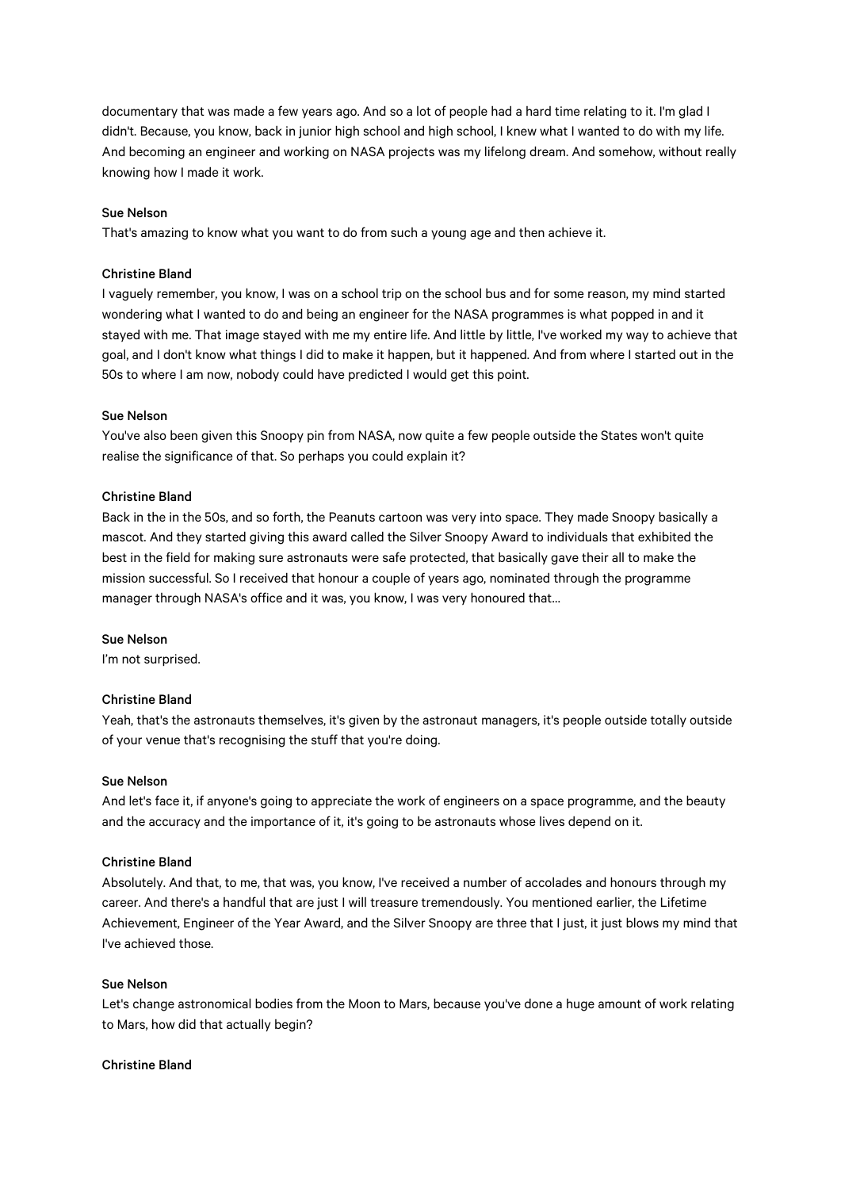documentary that was made a few years ago. And so a lot of people had a hard time relating to it. I'm glad I didn't. Because, you know, back in junior high school and high school, I knew what I wanted to do with my life. And becoming an engineer and working on NASA projects was my lifelong dream. And somehow, without really knowing how I made it work.

#### Sue Nelson

That's amazing to know what you want to do from such a young age and then achieve it.

# Christine Bland

I vaguely remember, you know, I was on a school trip on the school bus and for some reason, my mind started wondering what I wanted to do and being an engineer for the NASA programmes is what popped in and it stayed with me. That image stayed with me my entire life. And little by little, I've worked my way to achieve that goal, and I don't know what things I did to make it happen, but it happened. And from where I started out in the 50s to where I am now, nobody could have predicted I would get this point.

#### Sue Nelson

You've also been given this Snoopy pin from NASA, now quite a few people outside the States won't quite realise the significance of that. So perhaps you could explain it?

# Christine Bland

Back in the in the 50s, and so forth, the Peanuts cartoon was very into space. They made Snoopy basically a mascot. And they started giving this award called the Silver Snoopy Award to individuals that exhibited the best in the field for making sure astronauts were safe protected, that basically gave their all to make the mission successful. So I received that honour a couple of years ago, nominated through the programme manager through NASA's office and it was, you know, I was very honoured that…

# Sue Nelson

I'm not surprised.

# Christine Bland

Yeah, that's the astronauts themselves, it's given by the astronaut managers, it's people outside totally outside of your venue that's recognising the stuff that you're doing.

#### Sue Nelson

And let's face it, if anyone's going to appreciate the work of engineers on a space programme, and the beauty and the accuracy and the importance of it, it's going to be astronauts whose lives depend on it.

# Christine Bland

Absolutely. And that, to me, that was, you know, I've received a number of accolades and honours through my career. And there's a handful that are just I will treasure tremendously. You mentioned earlier, the Lifetime Achievement, Engineer of the Year Award, and the Silver Snoopy are three that I just, it just blows my mind that I've achieved those.

# Sue Nelson

Let's change astronomical bodies from the Moon to Mars, because you've done a huge amount of work relating to Mars, how did that actually begin?

### Christine Bland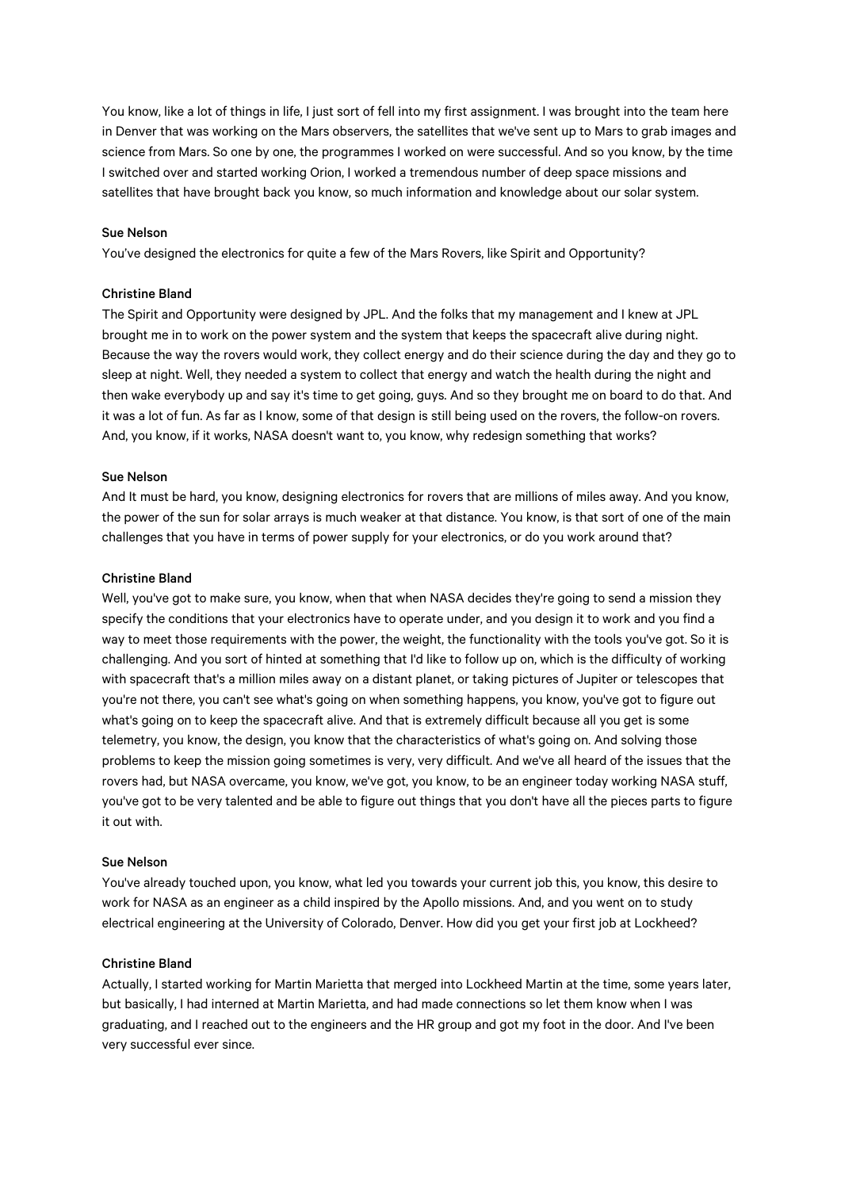You know, like a lot of things in life, I just sort of fell into my first assignment. I was brought into the team here in Denver that was working on the Mars observers, the satellites that we've sent up to Mars to grab images and science from Mars. So one by one, the programmes I worked on were successful. And so you know, by the time I switched over and started working Orion, I worked a tremendous number of deep space missions and satellites that have brought back you know, so much information and knowledge about our solar system.

#### Sue Nelson

You've designed the electronics for quite a few of the Mars Rovers, like Spirit and Opportunity?

### Christine Bland

The Spirit and Opportunity were designed by JPL. And the folks that my management and I knew at JPL brought me in to work on the power system and the system that keeps the spacecraft alive during night. Because the way the rovers would work, they collect energy and do their science during the day and they go to sleep at night. Well, they needed a system to collect that energy and watch the health during the night and then wake everybody up and say it's time to get going, guys. And so they brought me on board to do that. And it was a lot of fun. As far as I know, some of that design is still being used on the rovers, the follow-on rovers. And, you know, if it works, NASA doesn't want to, you know, why redesign something that works?

#### Sue Nelson

And It must be hard, you know, designing electronics for rovers that are millions of miles away. And you know, the power of the sun for solar arrays is much weaker at that distance. You know, is that sort of one of the main challenges that you have in terms of power supply for your electronics, or do you work around that?

#### Christine Bland

Well, you've got to make sure, you know, when that when NASA decides they're going to send a mission they specify the conditions that your electronics have to operate under, and you design it to work and you find a way to meet those requirements with the power, the weight, the functionality with the tools you've got. So it is challenging. And you sort of hinted at something that I'd like to follow up on, which is the difficulty of working with spacecraft that's a million miles away on a distant planet, or taking pictures of Jupiter or telescopes that you're not there, you can't see what's going on when something happens, you know, you've got to figure out what's going on to keep the spacecraft alive. And that is extremely difficult because all you get is some telemetry, you know, the design, you know that the characteristics of what's going on. And solving those problems to keep the mission going sometimes is very, very difficult. And we've all heard of the issues that the rovers had, but NASA overcame, you know, we've got, you know, to be an engineer today working NASA stuff, you've got to be very talented and be able to figure out things that you don't have all the pieces parts to figure it out with.

# Sue Nelson

You've already touched upon, you know, what led you towards your current job this, you know, this desire to work for NASA as an engineer as a child inspired by the Apollo missions. And, and you went on to study electrical engineering at the University of Colorado, Denver. How did you get your first job at Lockheed?

# Christine Bland

Actually, I started working for Martin Marietta that merged into Lockheed Martin at the time, some years later, but basically, I had interned at Martin Marietta, and had made connections so let them know when I was graduating, and I reached out to the engineers and the HR group and got my foot in the door. And I've been very successful ever since.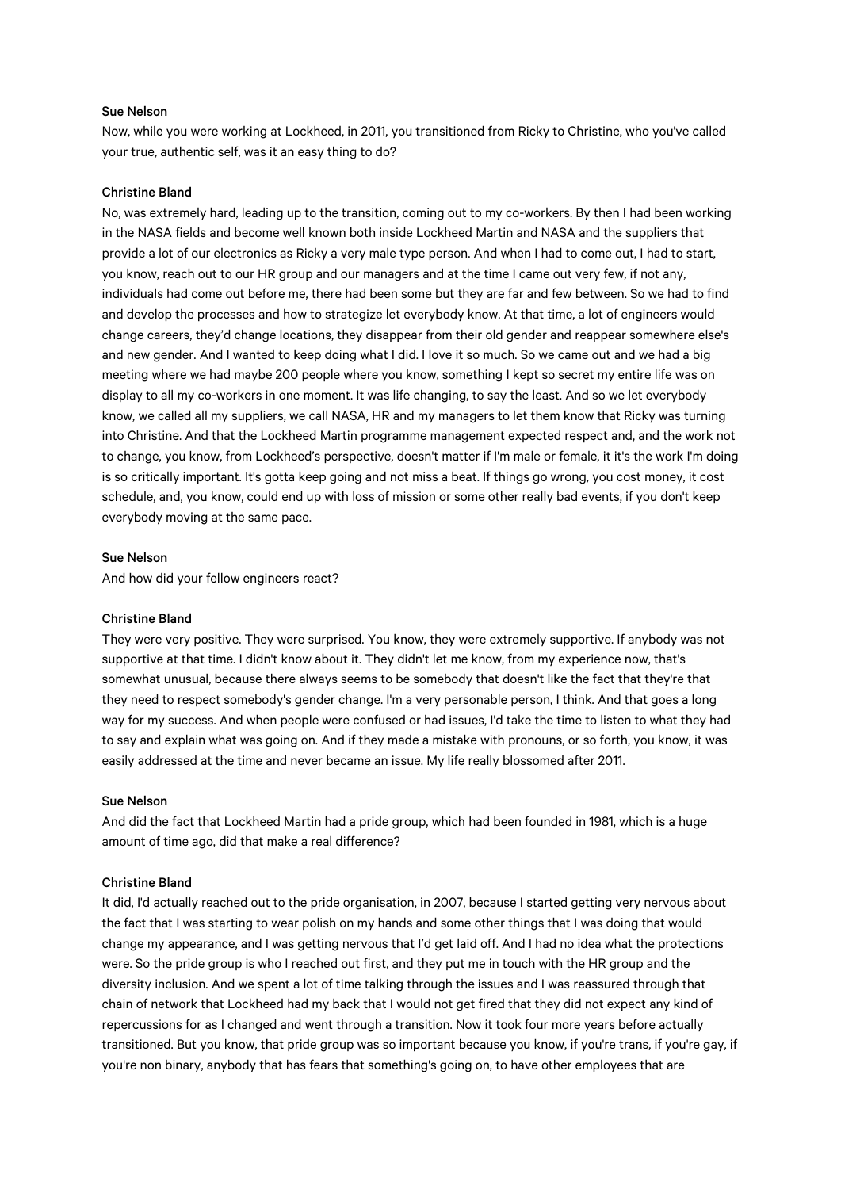## Sue Nelson

Now, while you were working at Lockheed, in 2011, you transitioned from Ricky to Christine, who you've called your true, authentic self, was it an easy thing to do?

#### Christine Bland

No, was extremely hard, leading up to the transition, coming out to my co-workers. By then I had been working in the NASA fields and become well known both inside Lockheed Martin and NASA and the suppliers that provide a lot of our electronics as Ricky a very male type person. And when I had to come out, I had to start, you know, reach out to our HR group and our managers and at the time I came out very few, if not any, individuals had come out before me, there had been some but they are far and few between. So we had to find and develop the processes and how to strategize let everybody know. At that time, a lot of engineers would change careers, they'd change locations, they disappear from their old gender and reappear somewhere else's and new gender. And I wanted to keep doing what I did. I love it so much. So we came out and we had a big meeting where we had maybe 200 people where you know, something I kept so secret my entire life was on display to all my co-workers in one moment. It was life changing, to say the least. And so we let everybody know, we called all my suppliers, we call NASA, HR and my managers to let them know that Ricky was turning into Christine. And that the Lockheed Martin programme management expected respect and, and the work not to change, you know, from Lockheed's perspective, doesn't matter if I'm male or female, it it's the work I'm doing is so critically important. It's gotta keep going and not miss a beat. If things go wrong, you cost money, it cost schedule, and, you know, could end up with loss of mission or some other really bad events, if you don't keep everybody moving at the same pace.

#### Sue Nelson

And how did your fellow engineers react?

# Christine Bland

They were very positive. They were surprised. You know, they were extremely supportive. If anybody was not supportive at that time. I didn't know about it. They didn't let me know, from my experience now, that's somewhat unusual, because there always seems to be somebody that doesn't like the fact that they're that they need to respect somebody's gender change. I'm a very personable person, I think. And that goes a long way for my success. And when people were confused or had issues, I'd take the time to listen to what they had to say and explain what was going on. And if they made a mistake with pronouns, or so forth, you know, it was easily addressed at the time and never became an issue. My life really blossomed after 2011.

# Sue Nelson

And did the fact that Lockheed Martin had a pride group, which had been founded in 1981, which is a huge amount of time ago, did that make a real difference?

#### Christine Bland

It did, I'd actually reached out to the pride organisation, in 2007, because I started getting very nervous about the fact that I was starting to wear polish on my hands and some other things that I was doing that would change my appearance, and I was getting nervous that I'd get laid off. And I had no idea what the protections were. So the pride group is who I reached out first, and they put me in touch with the HR group and the diversity inclusion. And we spent a lot of time talking through the issues and I was reassured through that chain of network that Lockheed had my back that I would not get fired that they did not expect any kind of repercussions for as I changed and went through a transition. Now it took four more years before actually transitioned. But you know, that pride group was so important because you know, if you're trans, if you're gay, if you're non binary, anybody that has fears that something's going on, to have other employees that are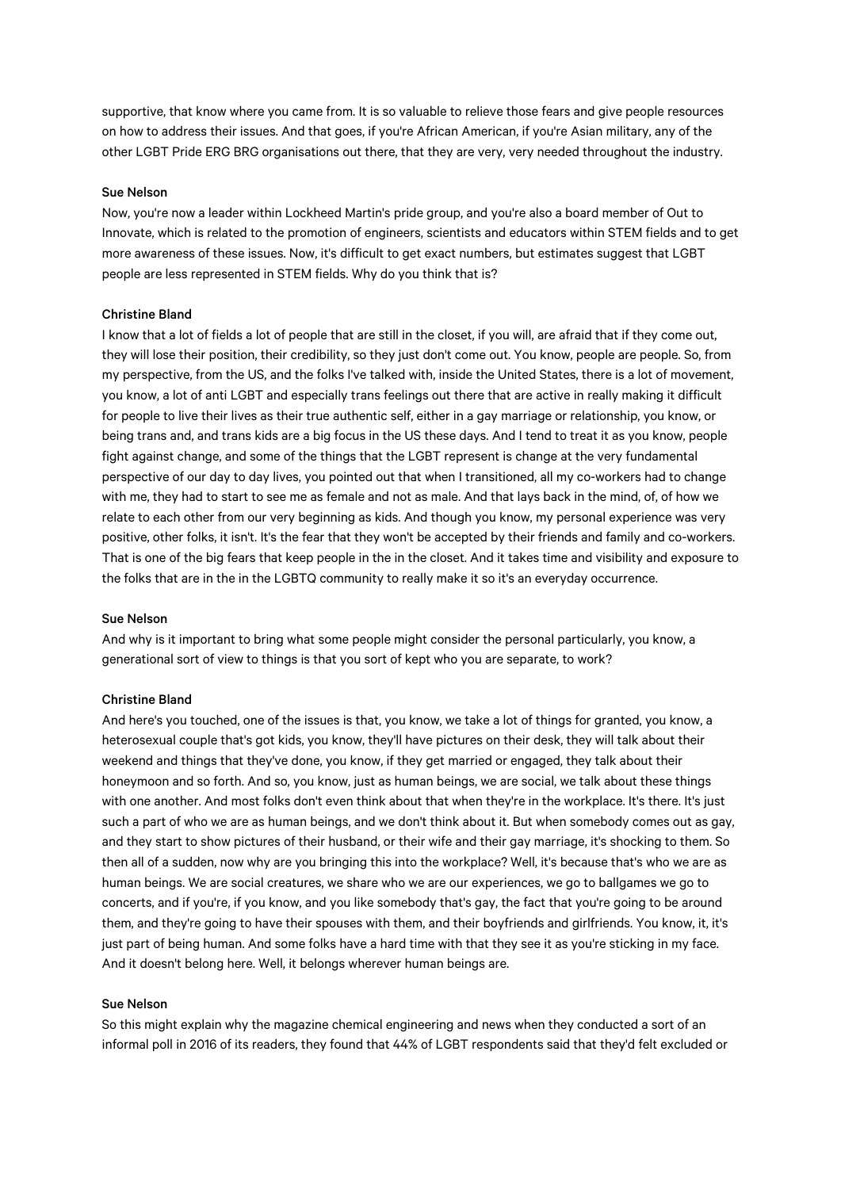supportive, that know where you came from. It is so valuable to relieve those fears and give people resources on how to address their issues. And that goes, if you're African American, if you're Asian military, any of the other LGBT Pride ERG BRG organisations out there, that they are very, very needed throughout the industry.

#### Sue Nelson

Now, you're now a leader within Lockheed Martin's pride group, and you're also a board member of Out to Innovate, which is related to the promotion of engineers, scientists and educators within STEM fields and to get more awareness of these issues. Now, it's difficult to get exact numbers, but estimates suggest that LGBT people are less represented in STEM fields. Why do you think that is?

### Christine Bland

I know that a lot of fields a lot of people that are still in the closet, if you will, are afraid that if they come out, they will lose their position, their credibility, so they just don't come out. You know, people are people. So, from my perspective, from the US, and the folks I've talked with, inside the United States, there is a lot of movement, you know, a lot of anti LGBT and especially trans feelings out there that are active in really making it difficult for people to live their lives as their true authentic self, either in a gay marriage or relationship, you know, or being trans and, and trans kids are a big focus in the US these days. And I tend to treat it as you know, people fight against change, and some of the things that the LGBT represent is change at the very fundamental perspective of our day to day lives, you pointed out that when I transitioned, all my co-workers had to change with me, they had to start to see me as female and not as male. And that lays back in the mind, of, of how we relate to each other from our very beginning as kids. And though you know, my personal experience was very positive, other folks, it isn't. It's the fear that they won't be accepted by their friends and family and co-workers. That is one of the big fears that keep people in the in the closet. And it takes time and visibility and exposure to the folks that are in the in the LGBTQ community to really make it so it's an everyday occurrence.

### Sue Nelson

And why is it important to bring what some people might consider the personal particularly, you know, a generational sort of view to things is that you sort of kept who you are separate, to work?

#### Christine Bland

And here's you touched, one of the issues is that, you know, we take a lot of things for granted, you know, a heterosexual couple that's got kids, you know, they'll have pictures on their desk, they will talk about their weekend and things that they've done, you know, if they get married or engaged, they talk about their honeymoon and so forth. And so, you know, just as human beings, we are social, we talk about these things with one another. And most folks don't even think about that when they're in the workplace. It's there. It's just such a part of who we are as human beings, and we don't think about it. But when somebody comes out as gay, and they start to show pictures of their husband, or their wife and their gay marriage, it's shocking to them. So then all of a sudden, now why are you bringing this into the workplace? Well, it's because that's who we are as human beings. We are social creatures, we share who we are our experiences, we go to ballgames we go to concerts, and if you're, if you know, and you like somebody that's gay, the fact that you're going to be around them, and they're going to have their spouses with them, and their boyfriends and girlfriends. You know, it, it's just part of being human. And some folks have a hard time with that they see it as you're sticking in my face. And it doesn't belong here. Well, it belongs wherever human beings are.

#### Sue Nelson

So this might explain why the magazine chemical engineering and news when they conducted a sort of an informal poll in 2016 of its readers, they found that 44% of LGBT respondents said that they'd felt excluded or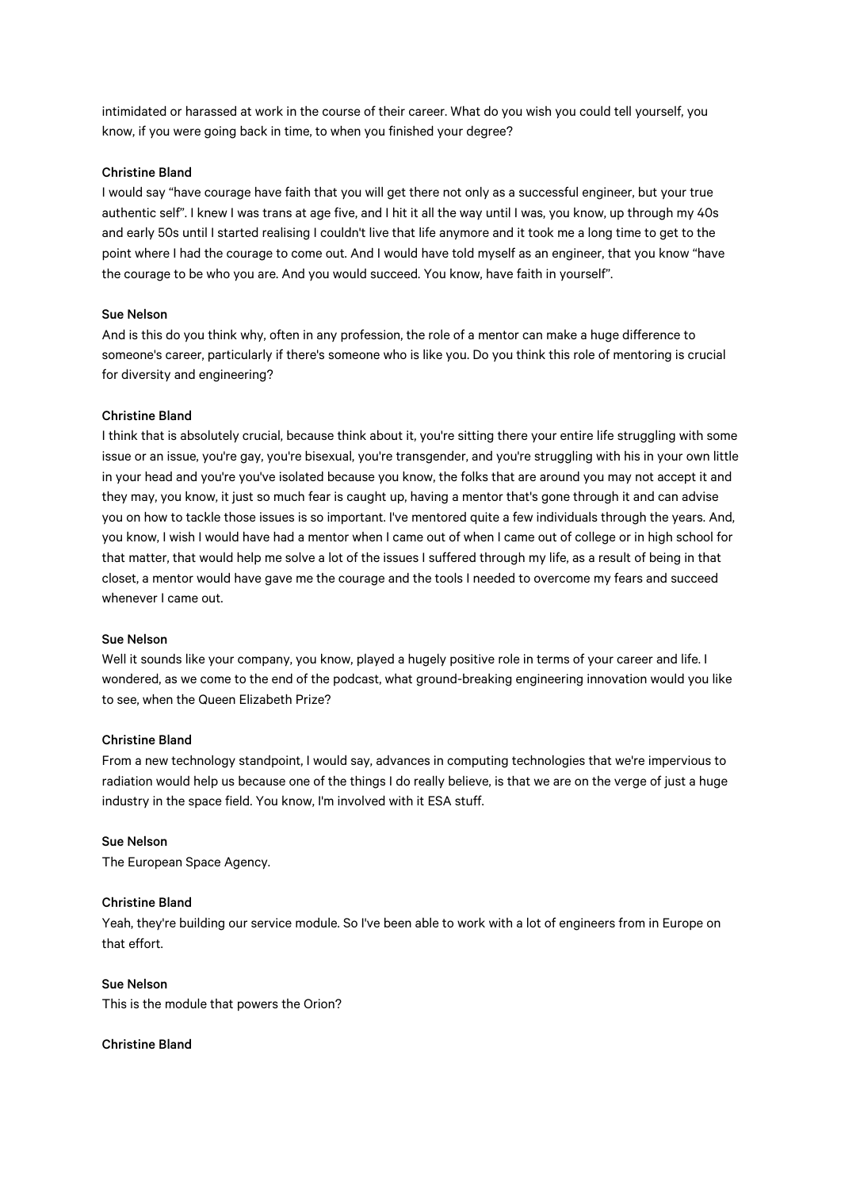intimidated or harassed at work in the course of their career. What do you wish you could tell yourself, you know, if you were going back in time, to when you finished your degree?

# Christine Bland

I would say "have courage have faith that you will get there not only as a successful engineer, but your true authentic self". I knew I was trans at age five, and I hit it all the way until I was, you know, up through my 40s and early 50s until I started realising I couldn't live that life anymore and it took me a long time to get to the point where I had the courage to come out. And I would have told myself as an engineer, that you know "have the courage to be who you are. And you would succeed. You know, have faith in yourself".

# Sue Nelson

And is this do you think why, often in any profession, the role of a mentor can make a huge difference to someone's career, particularly if there's someone who is like you. Do you think this role of mentoring is crucial for diversity and engineering?

# Christine Bland

I think that is absolutely crucial, because think about it, you're sitting there your entire life struggling with some issue or an issue, you're gay, you're bisexual, you're transgender, and you're struggling with his in your own little in your head and you're you've isolated because you know, the folks that are around you may not accept it and they may, you know, it just so much fear is caught up, having a mentor that's gone through it and can advise you on how to tackle those issues is so important. I've mentored quite a few individuals through the years. And, you know, I wish I would have had a mentor when I came out of when I came out of college or in high school for that matter, that would help me solve a lot of the issues I suffered through my life, as a result of being in that closet, a mentor would have gave me the courage and the tools I needed to overcome my fears and succeed whenever I came out.

# Sue Nelson

Well it sounds like your company, you know, played a hugely positive role in terms of your career and life. I wondered, as we come to the end of the podcast, what ground-breaking engineering innovation would you like to see, when the Queen Elizabeth Prize?

### Christine Bland

From a new technology standpoint, I would say, advances in computing technologies that we're impervious to radiation would help us because one of the things I do really believe, is that we are on the verge of just a huge industry in the space field. You know, I'm involved with it ESA stuff.

# Sue Nelson

The European Space Agency.

# Christine Bland

Yeah, they're building our service module. So I've been able to work with a lot of engineers from in Europe on that effort.

# Sue Nelson

This is the module that powers the Orion?

# Christine Bland